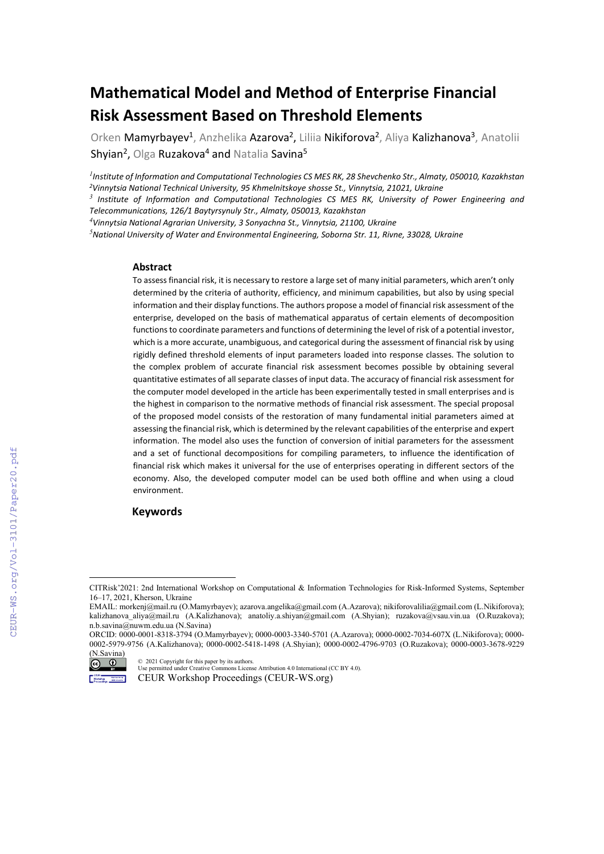# **Mathematical Model and Method of Enterprise Financial Risk Assessment Based on Threshold Elements**

Orken Mamyrbayev<sup>1</sup>, Anzhelika Azarova<sup>2</sup>, Liliia Nikiforova<sup>2</sup>, Aliya Kalizhanova<sup>3</sup>, Anatolii Shyian<sup>2</sup>, Olga Ruzakova<sup>4</sup> and Natalia Savina<sup>5</sup>

*1 Institute of Information and Computational Technologies CS MES RK, 28 Shevchenko Str., Almaty, 050010, Kazakhstan 2Vinnytsia National Technical University, 95 Khmelnitskoye shosse St., Vinnytsia, 21021, Ukraine*

*<sup>3</sup> Institute of Information and Computational Technologies CS MES RK, University of Power Engineering and Telecommunications, 126/1 Baytyrsynuly Str., Almaty, 050013, Kazakhstan*

*4 Vinnytsia National Agrarian University, 3 Sonyachna St., Vinnytsia, 21100, Ukraine*

*5 National University of Water and Environmental Engineering, Soborna Str. 11, Rivne, 33028, Ukraine*

#### **Abstract**

To assessfinancial risk, it is necessary to restore a large set of many initial parameters, which aren't only determined by the criteria of authority, efficiency, and minimum capabilities, but also by using special information and their display functions. The authors propose a model of financial risk assessment of the enterprise, developed on the basis of mathematical apparatus of certain elements of decomposition functionsto coordinate parameters and functions of determining the level of risk of a potential investor, which is a more accurate, unambiguous, and categorical during the assessment of financial risk by using rigidly defined threshold elements of input parameters loaded into response classes. The solution to the complex problem of accurate financial risk assessment becomes possible by obtaining several quantitative estimates of all separate classes of input data. The accuracy of financial risk assessment for the computer model developed in the article has been experimentally tested in small enterprises and is the highest in comparison to the normative methods of financial risk assessment. The special proposal of the proposed model consists of the restoration of many fundamental initial parameters aimed at assessing the financial risk, which is determined by the relevant capabilities of the enterprise and expert information. The model also uses the function of conversion of initial parameters for the assessment and a set of functional decompositions for compiling parameters, to influence the identification of financial risk which makes it universal for the use of enterprises operating in different sectors of the economy. Also, the developed computer model can be used both offline and when using a cloud environment.

#### **Keywords[1](#page-0-0)**

ORCID: 0000-0001-8318-3794 (O.Mamyrbayev)[; 0000-0003-3340-5701](https://orcid.org/0000-0003-3340-5701?lang=en) (A.Azarova); 0000-0002-7034-607X (L.Nikiforova); 0000- 0002-5979-9756 (A.Kalizhanova); 0000-0002-5418-1498 (A.Shyian); 0000-0002-4796-9703 (O.Ruzakova); 0000-0003-3678-9229



<sup>©</sup> 2021 Copyright for this paper by its authors. Use permitted under Creative Commons License Attribution 4.0 International (CC BY 4.0).

CITRisk'2021: 2nd International Workshop on Computational & Information Technologies for Risk-Informed Systems, September 16–17, 2021, Kherson, Ukraine

<span id="page-0-0"></span>EMAIL: morkenj@mail.ru (O.Mamyrbayev)[; azarova.angelika@gmail.com](mailto:azarova.angelika@gmail.com) (A.Azarova)[; nikiforovalilia@gmail.com](mailto:nikiforovalilia@gmail.com) (L.Nikiforova); kalizhanova\_aliya@mail.ru (A.Kalizhanova); [anatoliy.a.shiyan@gmail.com](mailto:anatoliy.a.shiyan@gmail.com) (A.Shyian); [ruzakova@vsau.vin.ua](mailto:ruzakova@vsau.vin.ua) (O.Ruzakova); n.b.savina@nuwm.edu.ua (N.Savina)

CEUR<br>Workshop Borrowski CEUR Workshop Proceedings (CEUR-WS.org)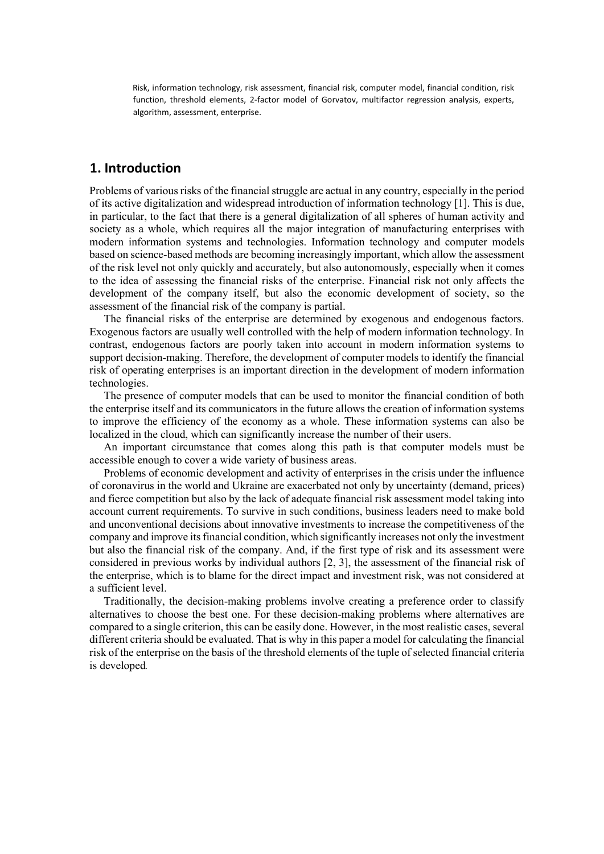Risk, information technology, risk assessment, financial risk, computer model, financial condition, risk function, threshold elements, 2-factor model of Gorvatov, multifactor regression analysis, experts, algorithm, assessment, enterprise.

### **1. Introduction**

Problems of various risks of the financial struggle are actual in any country, especially in the period of its active digitalization and widespread introduction of information technology [1]. This is due, in particular, to the fact that there is a general digitalization of all spheres of human activity and society as a whole, which requires all the major integration of manufacturing enterprises with modern information systems and technologies. Information technology and computer models based on science-based methods are becoming increasingly important, which allow the assessment of the risk level not only quickly and accurately, but also autonomously, especially when it comes to the idea of assessing the financial risks of the enterprise. Financial risk not only affects the development of the company itself, but also the economic development of society, so the assessment of the financial risk of the company is partial.

The financial risks of the enterprise are determined by exogenous and endogenous factors. Exogenous factors are usually well controlled with the help of modern information technology. In contrast, endogenous factors are poorly taken into account in modern information systems to support decision-making. Therefore, the development of computer models to identify the financial risk of operating enterprises is an important direction in the development of modern information technologies.

The presence of computer models that can be used to monitor the financial condition of both the enterprise itself and its communicators in the future allows the creation of information systems to improve the efficiency of the economy as a whole. These information systems can also be localized in the cloud, which can significantly increase the number of their users.

An important circumstance that comes along this path is that computer models must be accessible enough to cover a wide variety of business areas.

Problems of economic development and activity of enterprises in the crisis under the influence of coronavirus in the world and Ukraine are exacerbated not only by uncertainty (demand, prices) and fierce competition but also by the lack of adequate financial risk assessment model taking into account current requirements. To survive in such conditions, business leaders need to make bold and unconventional decisions about innovative investments to increase the competitiveness of the company and improve itsfinancial condition, which significantly increases not only the investment but also the financial risk of the company. And, if the first type of risk and its assessment were considered in previous works by individual authors [2, 3], the assessment of the financial risk of the enterprise, which is to blame for the direct impact and investment risk, was not considered at a sufficient level.

Traditionally, the decision-making problems involve creating a preference order to classify alternatives to choose the best one. For these decision-making problems where alternatives are compared to a single criterion, this can be easily done. However, in the most realistic cases, several different criteria should be evaluated. That is why in this paper a model for calculating the financial risk of the enterprise on the basis of the threshold elements of the tuple of selected financial criteria is developed.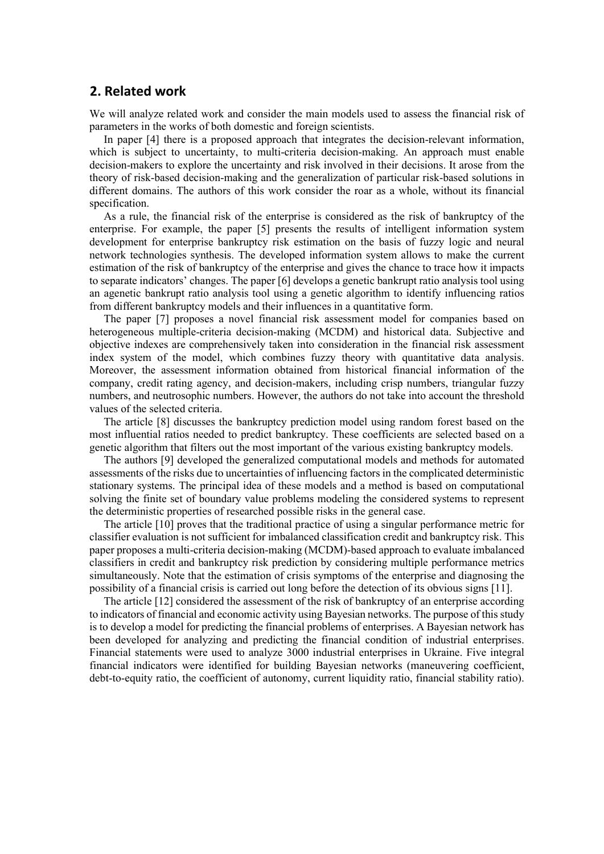### **2. Related work**

We will analyze related work and consider the main models used to assess the financial risk of parameters in the works of both domestic and foreign scientists.

In paper [4] there is a proposed approach that integrates the decision-relevant information, which is subject to uncertainty, to multi-criteria decision-making. An approach must enable decision-makers to explore the uncertainty and risk involved in their decisions. It arose from the theory of risk-based decision-making and the generalization of particular risk-based solutions in different domains. The authors of this work consider the roar as a whole, without its financial specification.

As a rule, the financial risk of the enterprise is considered as the risk of bankruptcy of the enterprise. For example, the paper [5] presents the results of intelligent information system development for enterprise bankruptcy risk estimation on the basis of fuzzy logic and neural network technologies synthesis. The developed information system allows to make the current estimation of the risk of bankruptcy of the enterprise and gives the chance to trace how it impacts to separate indicators' changes. The paper [6] develops a genetic bankrupt ratio analysis tool using an agenetic bankrupt ratio analysis tool using a genetic algorithm to identify influencing ratios from different bankruptcy models and their influences in a quantitative form.

The paper [7] proposes a novel financial risk assessment model for companies based on heterogeneous multiple-criteria decision-making (MCDM) and historical data. Subjective and objective indexes are comprehensively taken into consideration in the financial risk assessment index system of the model, which combines fuzzy theory with quantitative data analysis. Moreover, the assessment information obtained from historical financial information of the company, credit rating agency, and decision-makers, including crisp numbers, triangular fuzzy numbers, and neutrosophic numbers. However, the authors do not take into account the threshold values of the selected criteria.

Thе article [8] discusses the bankruptcy prediction model using random forest based on the most influential ratios needed to predict bankruptcy. These coefficients are selected based on a genetic algorithm that filters out the most important of the various existing bankruptcy models.

The authors [9] developed the generalized computational models and methods for automated assessments of the risks due to uncertainties of influencing factors in the complicated deterministic stationary systems. The principal idea of these models and a method is based on computational solving the finite set of boundary value problems modeling the considered systems to represent the deterministic properties of researched possible risks in the general case.

The article [10] proves that the traditional practice of using a singular performance metric for classifier evaluation is not sufficient for imbalanced classification credit and bankruptcy risk. This paper proposes a multi-criteria decision-making (MCDM)-based approach to evaluate imbalanced classifiers in credit and bankruptcy risk prediction by considering multiple performance metrics simultaneously. Note that the estimation of crisis symptoms of the enterprise and diagnosing the possibility of a financial crisis is carried out long before the detection of its obvious signs [11].

The article [12] considered the assessment of the risk of bankruptcy of an enterprise according to indicators of financial and economic activity using Bayesian networks. The purpose of thisstudy is to develop a model for predicting the financial problems of enterprises. A Bayesian network has been developed for analyzing and predicting the financial condition of industrial enterprises. Financial statements were used to analyze 3000 industrial enterprises in Ukraine. Five integral financial indicators were identified for building Bayesian networks (maneuvering coefficient, debt-to-equity ratio, the coefficient of autonomy, current liquidity ratio, financial stability ratio).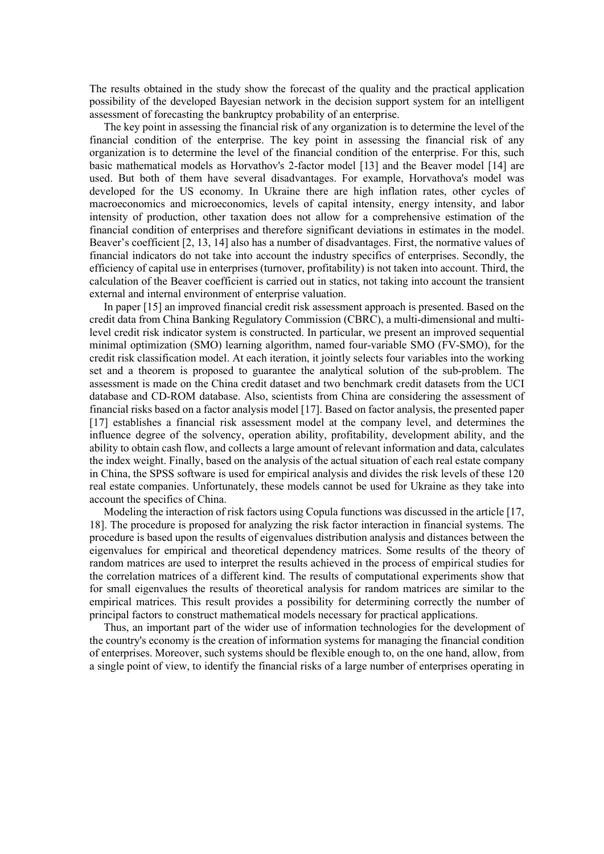The results obtained in the study show the forecast of the quality and the practical application possibility of the developed Bayesian network in the decision support system for an intelligent assessment of forecasting the bankruptcy probability of an enterprise.

The key point in assessing the financial risk of any organization is to determine the level of the financial condition of the enterprise. The key point in assessing the financial risk of any organization is to determine the level of the financial condition of the enterprise. For this, such basic mathematical models as Horvathov's 2-factor model [13] and the Beaver model [14] are used. But both of them have several disadvantages. For example, Horvathova's model was developed for the US economy. In Ukraine there are high inflation rates, other cycles of macroeconomics and microeconomics, levels of capital intensity, energy intensity, and labor intensity of production, other taxation does not allow for a comprehensive estimation of the financial condition of enterprises and therefore significant deviations in estimates in the model. Beaver's coefficient [2, 13, 14] also has a number of disadvantages. First, the normative values of financial indicators do not take into account the industry specifics of enterprises. Secondly, the efficiency of capital use in enterprises (turnover, profitability) is not taken into account. Third, the calculation of the Beaver coefficient is carried out in statics, not taking into account the transient external and internal environment of enterprise valuation.

In paper [15] an improved financial credit risk assessment approach is presented. Based on the credit data from China Banking Regulatory Commission (CBRC), a multi-dimensional and multilevel credit risk indicator system is constructed. In particular, we present an improved sequential minimal optimization (SMO) learning algorithm, named four-variable SMO (FV-SMO), for the credit risk classification model. At each iteration, it jointly selects four variables into the working set and a theorem is proposed to guarantee the analytical solution of the sub-problem. The assessment is made on the China credit dataset and two benchmark credit datasets from the UCI database and CD-ROM database. Also, scientists from China are considering the assessment of financial risks based on a factor analysis model [17]. Based on factor analysis, the presented paper [17] establishes a financial risk assessment model at the company level, and determines the influence degree of the solvency, operation ability, profitability, development ability, and the ability to obtain cash flow, and collects a large amount of relevant information and data, calculates the index weight. Finally, based on the analysis of the actual situation of each real estate company in China, the SPSS software is used for empirical analysis and divides the risk levels of these 120 real estate companies. Unfortunately, these models cannot be used for Ukraine as they take into account the specifics of China.

Modeling the interaction of risk factors using Copula functions was discussed in the article [17, 18]. The procedure is proposed for analyzing the risk factor interaction in financial systems. The procedure is based upon the results of eigenvalues distribution analysis and distances between the eigenvalues for empirical and theoretical dependency matrices. Some results of the theory of random matrices are used to interpret the results achieved in the process of empirical studies for the correlation matrices of a different kind. The results of computational experiments show that for small eigenvalues the results of theoretical analysis for random matrices are similar to the empirical matrices. This result provides a possibility for determining correctly the number of principal factors to construct mathematical models necessary for practical applications.

Thus, an important part of the wider use of information technologies for the development of the country's economy is the creation of information systems for managing the financial condition of enterprises. Moreover, such systems should be flexible enough to, on the one hand, allow, from a single point of view, to identify the financial risks of a large number of enterprises operating in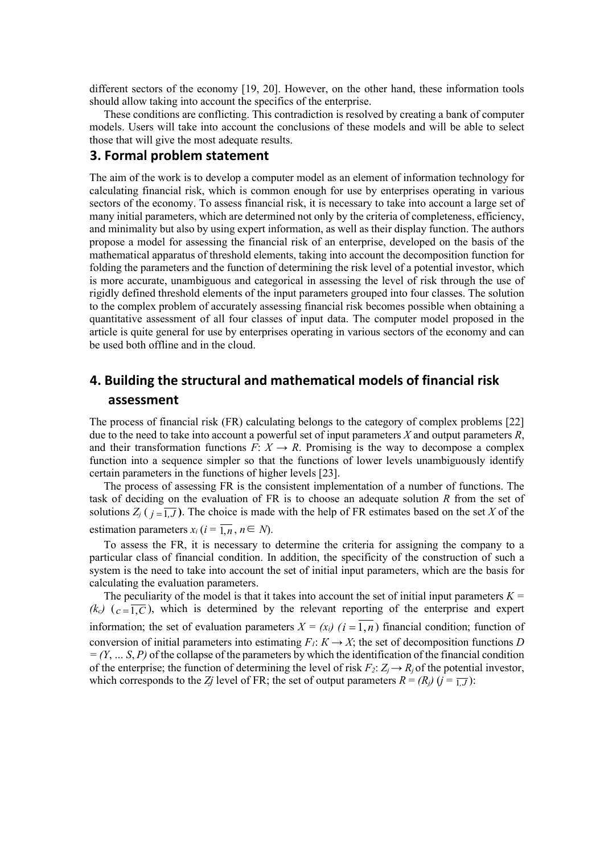different sectors of the economy [19, 20]. However, on the other hand, these information tools should allow taking into account the specifics of the enterprise.

These conditions are conflicting. This contradiction is resolved by creating a bank of computer models. Users will take into account the conclusions of these models and will be able to select those that will give the most adequate results.

### **3. Formal problem statement**

The aim of the work is to develop a computer model as an element of information technology for calculating financial risk, which is common enough for use by enterprises operating in various sectors of the economy. To assess financial risk, it is necessary to take into account a large set of many initial parameters, which are determined not only by the criteria of completeness, efficiency, and minimality but also by using expert information, as well as their display function. The authors propose a model for assessing the financial risk of an enterprise, developed on the basis of the mathematical apparatus of threshold elements, taking into account the decomposition function for folding the parameters and the function of determining the risk level of a potential investor, which is more accurate, unambiguous and categorical in assessing the level of risk through the use of rigidly defined threshold elements of the input parameters grouped into four classes. The solution to the complex problem of accurately assessing financial risk becomes possible when obtaining a quantitative assessment of all four classes of input data. The computer model proposed in the article is quite general for use by enterprises operating in various sectors of the economy and can be used both offline and in the cloud.

## **4. Building the structural and mathematical models of financial risk assessment**

The process of financial risk (FR) calculating belongs to the category of complex problems [22] due to the need to take into account a powerful set of input parameters *X* and output parameters *R*, and their transformation functions  $F: X \to R$ . Promising is the way to decompose a complex function into a sequence simpler so that the functions of lower levels unambiguously identify certain parameters in the functions of higher levels [23].

The process of assessing FR is the consistent implementation of a number of functions. The task of deciding on the evaluation of FR is to choose an adequate solution *R* from the set of solutions  $Z_i$  ( $j = \overline{1, J}$ ). The choice is made with the help of FR estimates based on the set *X* of the estimation parameters  $x_i$  ( $i = \overline{1, n}, n \in N$ ).

To assess the FR, it is necessary to determine the criteria for assigning the company to a particular class of financial condition. In addition, the specificity of the construction of such a system is the need to take into account the set of initial input parameters, which are the basis for calculating the evaluation parameters.

The peculiarity of the model is that it takes into account the set of initial input parameters  $K =$  $(k_c)$  ( $c = \overline{1, C}$ ), which is determined by the relevant reporting of the enterprise and expert information; the set of evaluation parameters  $X = (x_i)$   $(i = \overline{1, n})$  financial condition; function of conversion of initial parameters into estimating  $F_1: K \to X$ ; the set of decomposition functions *D = (Y*, *… S*, *Р)* of the collapse of the parameters by which the identification of the financial condition of the enterprise; the function of determining the level of risk  $F_2$ :  $Z_i \rightarrow R_i$  of the potential investor, which corresponds to the *Zj* level of FR; the set of output parameters  $R = (R_j)(j = 1, J)$ :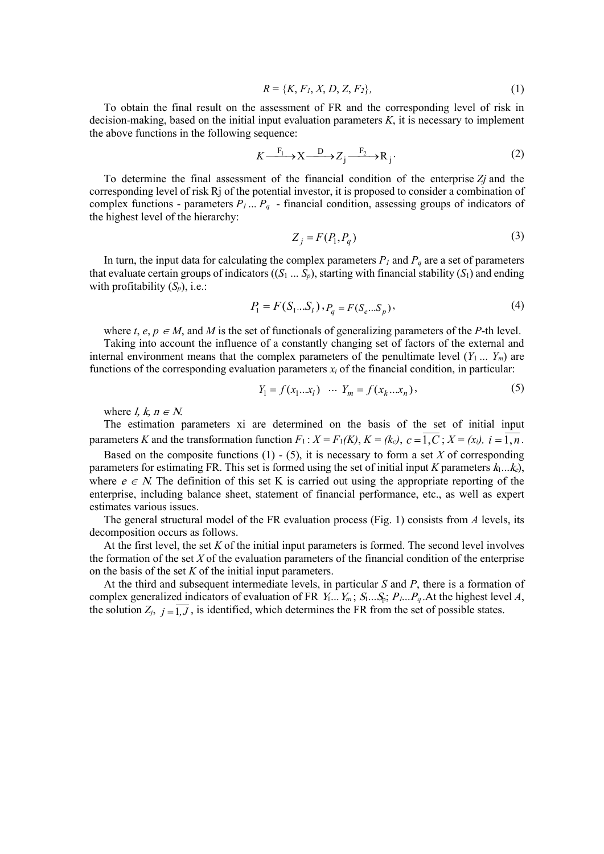$$
R = \{K, F_1, X, D, Z, F_2\},\tag{1}
$$

To obtain the final result on the assessment of FR and the corresponding level of risk in decision-making, based on the initial input evaluation parameters *K*, it is necessary to implement the above functions in the following sequence:

$$
K \xrightarrow{F_1} X \xrightarrow{D} Z_j \xrightarrow{F_2} R_j.
$$
 (2)

To determine the final assessment of the financial condition of the enterprise *Zj* and the corresponding level of risk Rj of the potential investor, it is proposed to consider a combination of complex functions - parameters *Р<sup>1</sup>* ... *Р<sup>q</sup>* - financial condition, assessing groups of indicators of the highest level of the hierarchy:

$$
Z_j = F(P_1, P_q) \tag{3}
$$

In turn, the input data for calculating the complex parameters  $P_1$  and  $P_q$  are a set of parameters that evaluate certain groups of indicators  $((S_1 \dots S_p))$ , starting with financial stability  $(S_1)$  and ending with profitability  $(S_p)$ , i.e.:

$$
P_1 = F(S_1...S_t) \cdot P_q = F(S_e...S_p),\tag{4}
$$

where *t*, *e*,  $p \in M$ , and *M* is the set of functionals of generalizing parameters of the *P*-th level.

Taking into account the influence of a constantly changing set of factors of the external and internal environment means that the complex parameters of the penultimate level  $(Y_1 \ldots Y_m)$  are functions of the corresponding evaluation parameters  $x_i$  of the financial condition, in particular:

$$
Y_1 = f(x_1...x_l) \quad \cdots \quad Y_m = f(x_k...x_n), \tag{5}
$$

where *l*, *k*,  $n \in N$ .

The estimation parameters xi are determined on the basis of the set of initial input parameters *K* and the transformation function  $F_1$ :  $X = F_1(K)$ ,  $K = (k_c)$ ,  $c = \overline{1, C}$ ;  $X = (x_i)$ ,  $i = \overline{1, n}$ .

Based on the composite functions  $(1)$  -  $(5)$ , it is necessary to form a set *X* of corresponding parameters for estimating FR. This set is formed using the set of initial input *K* parameters  $k_1...k_e$ , where  $e \in N$ . The definition of this set K is carried out using the appropriate reporting of the enterprise, including balance sheet, statement of financial performance, etc., as well as expert estimates various issues.

The general structural model of the FR evaluation process (Fig. 1) consists from *A* levels, its decomposition occurs as follows.

At the first level, the set *K* of the initial input parameters is formed. The second level involves the formation of the set *X* of the evaluation parameters of the financial condition of the enterprise on the basis of the set *K* of the initial input parameters.

At the third and subsequent intermediate levels, in particular *S* and *P*, there is a formation of complex generalized indicators of evaluation of FR  $Y_1...Y_m$ ;  $S_1...S_p$ ;  $P_1...P_q$ . At the highest level A, the solution  $Z_j$ ,  $j = \overline{1, J}$ , is identified, which determines the FR from the set of possible states.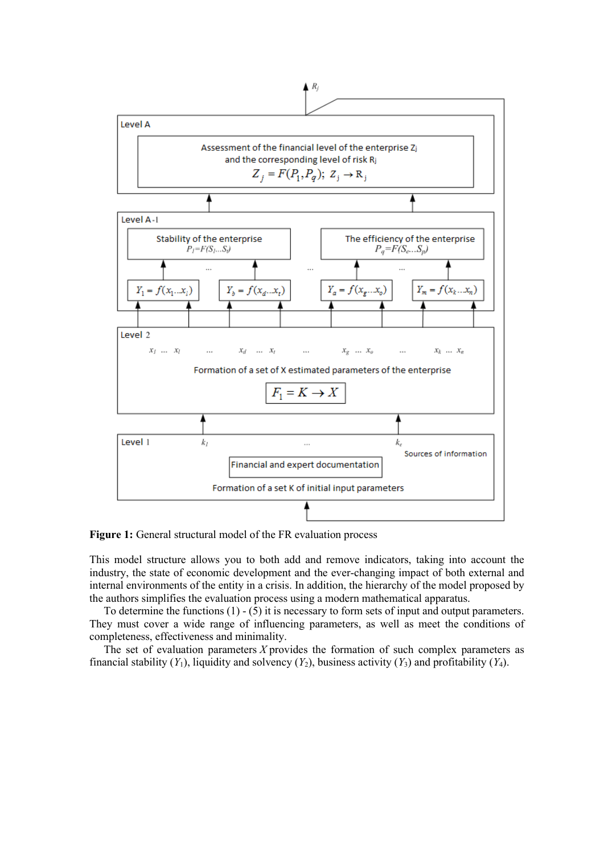

**Figure 1:** General structural model of the FR evaluation process

This model structure allows you to both add and remove indicators, taking into account the industry, the state of economic development and the ever-changing impact of both external and internal environments of the entity in a crisis. In addition, the hierarchy of the model proposed by the authors simplifies the evaluation process using a modern mathematical apparatus.

To determine the functions  $(1) - (5)$  it is necessary to form sets of input and output parameters. They must cover a wide range of influencing parameters, as well as meet the conditions of completeness, effectiveness and minimality.

The set of evaluation parameters *X* provides the formation of such complex parameters as financial stability  $(Y_1)$ , liquidity and solvency  $(Y_2)$ , business activity  $(Y_3)$  and profitability  $(Y_4)$ .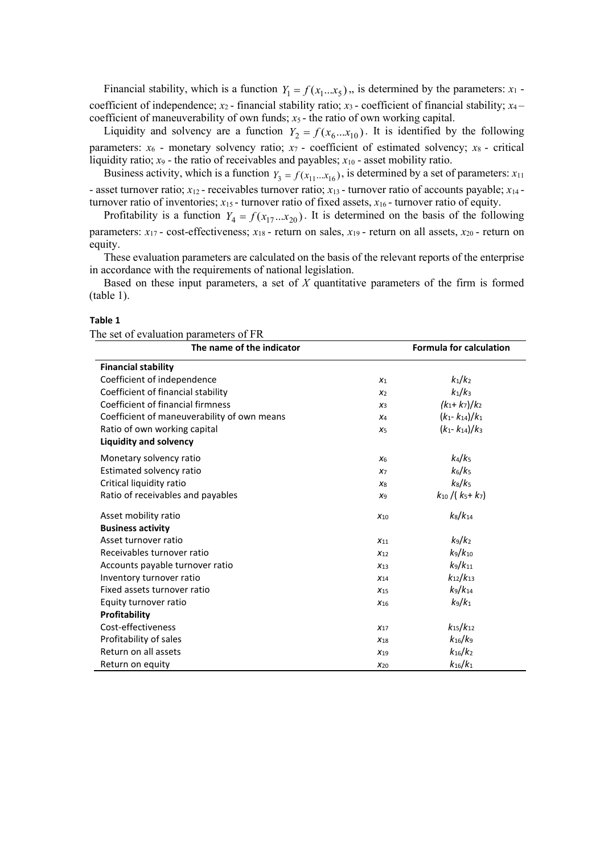Financial stability, which is a function  $Y_1 = f(x_1...x_5)$ , is determined by the parameters:  $x_1$  coefficient of independence;  $x_2$ -financial stability ratio;  $x_3$ -coefficient of financial stability;  $x_4$ coefficient of maneuverability of own funds; *x*5 - the ratio of own working capital.

Liquidity and solvency are a function  $Y_2 = f(x_6...x_{10})$ . It is identified by the following parameters:  $x_6$  - monetary solvency ratio;  $x_7$  - coefficient of estimated solvency;  $x_8$  - critical liquidity ratio; *x*<sup>9</sup> - the ratio of receivables and payables; *x*<sup>10</sup> - asset mobility ratio.

Business activity, which is a function  $Y_3 = f(x_{11}...x_{16})$ , is determined by a set of parameters:  $x_{11}$ - asset turnover ratio;  $x_{12}$  - receivables turnover ratio;  $x_{13}$  - turnover ratio of accounts payable;  $x_{14}$  turnover ratio of inventories;  $x_{15}$  - turnover ratio of fixed assets,  $x_{16}$  - turnover ratio of equity.

Profitability is a function  $Y_4 = f(x_{17}...x_{20})$ . It is determined on the basis of the following parameters: *x*<sup>17</sup> - cost-effectiveness; *x*<sup>18</sup> - return on sales, *x*<sup>19</sup> - return on all assets, *x*<sup>20</sup> - return on equity.

These evaluation parameters are calculated on the basis of the relevant reports of the enterprise in accordance with the requirements of national legislation.

Based on these input parameters, a set of *X* quantitative parameters of the firm is formed (table 1).

#### **Table 1**

| The set of evaluation parameters of FR |  |
|----------------------------------------|--|
|----------------------------------------|--|

| The name of the indicator                   |                 | <b>Formula for calculation</b> |
|---------------------------------------------|-----------------|--------------------------------|
| <b>Financial stability</b>                  |                 |                                |
| Coefficient of independence                 | $X_1$           | $k_1/k_2$                      |
| Coefficient of financial stability          | X <sub>2</sub>  | $k_1/k_3$                      |
| Coefficient of financial firmness           | $X_3$           | $(k_1+k_7)/k_2$                |
| Coefficient of maneuverability of own means | $X_4$           | $(k_1 - k_{14})/k_1$           |
| Ratio of own working capital                | X <sub>5</sub>  | $(k_1 - k_{14})/k_3$           |
| <b>Liquidity and solvency</b>               |                 |                                |
| Monetary solvency ratio                     | X <sub>6</sub>  | $k_4/k_5$                      |
| Estimated solvency ratio                    | X <sub>7</sub>  | $k_6/k_5$                      |
| Critical liquidity ratio                    | $X_8$           | $k_8/k_5$                      |
| Ratio of receivables and payables           | X <sub>9</sub>  | $k_{10}$ /( $k_{5}+k_{7}$ )    |
| Asset mobility ratio                        | $X_{10}$        | $k_8/k_{14}$                   |
| <b>Business activity</b>                    |                 |                                |
| Asset turnover ratio                        | $X_{11}$        | $k_9/k_2$                      |
| Receivables turnover ratio                  | $X_{12}$        | $k_9/k_{10}$                   |
| Accounts payable turnover ratio             | $X_{13}$        | $k_9/k_{11}$                   |
| Inventory turnover ratio                    | $X_{14}$        | $k_{12}/k_{13}$                |
| Fixed assets turnover ratio                 | $X_{15}$        | $k_9/k_{14}$                   |
| Equity turnover ratio                       | $X_{16}$        | $k_9/k_1$                      |
| Profitability                               |                 |                                |
| Cost-effectiveness                          | $X_{17}$        | $k_{15}/k_{12}$                |
| Profitability of sales                      | $X_{18}$        | $k_{16}/k_{9}$                 |
| Return on all assets                        | X <sub>19</sub> | $k_{16}/k_2$                   |
| Return on equity                            | $X_{20}$        | $k_{16}/k_1$                   |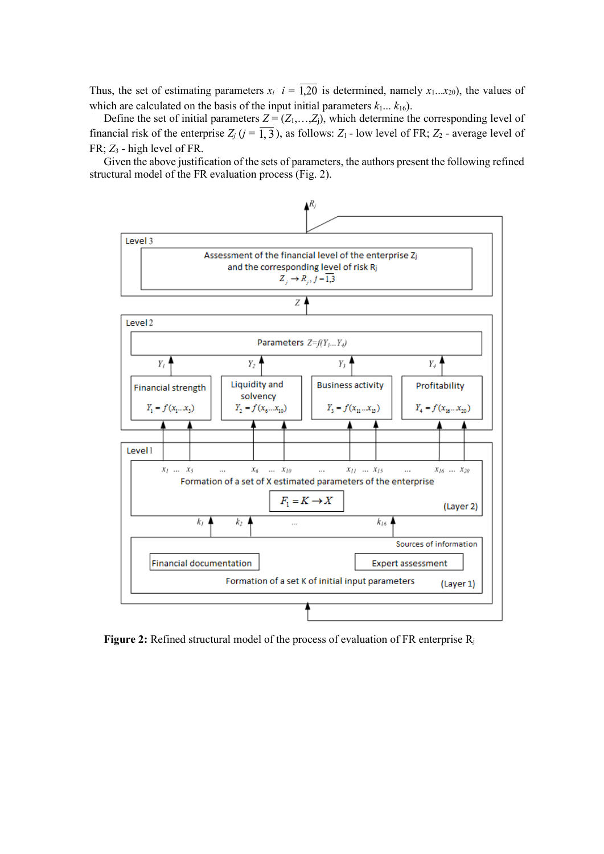Thus, the set of estimating parameters  $x_i$   $i = \overline{1,20}$  is determined, namely  $x_1...x_{20}$ , the values of which are calculated on the basis of the input initial parameters  $k_1... k_{16}$ ).

Define the set of initial parameters  $Z = (Z_1, \ldots, Z_i)$ , which determine the corresponding level of financial risk of the enterprise  $Z_j$  ( $j = \overline{1, 3}$ ), as follows:  $Z_1$  - low level of FR;  $Z_2$  - average level of FR; *Z*<sup>3</sup> - high level of FR.

Given the above justification of the sets of parameters, the authors present the following refined structural model of the FR evaluation process (Fig. 2).



**Figure 2:** Refined structural model of the process of evaluation of FR enterprise R<sub>i</sub>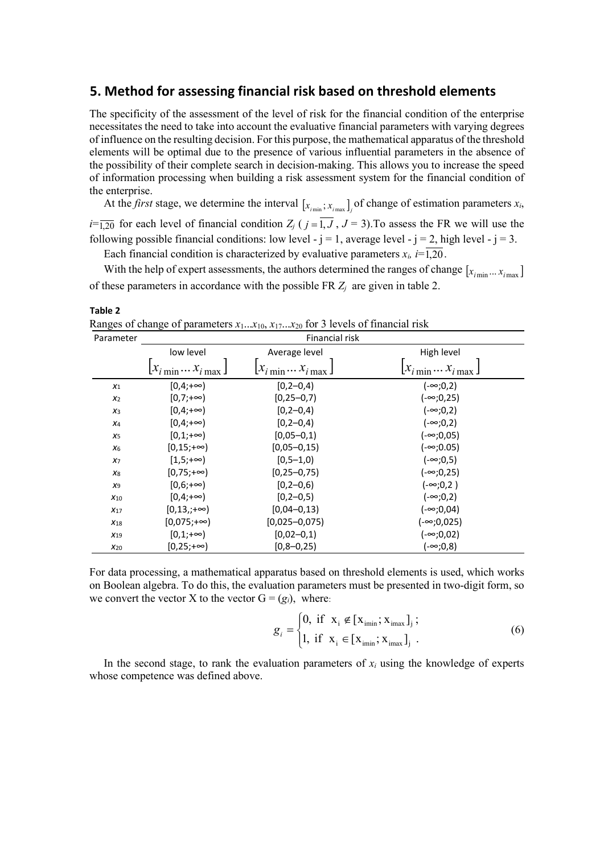### **5. Method for assessing financial risk based on threshold elements**

The specificity of the assessment of the level of risk for the financial condition of the enterprise necessitates the need to take into account the evaluative financial parameters with varying degrees of influence on the resulting decision. For this purpose, the mathematical apparatus of the threshold elements will be optimal due to the presence of various influential parameters in the absence of the possibility of their complete search in decision-making. This allows you to increase the speed of information processing when building a risk assessment system for the financial condition of the enterprise.

At the *first* stage, we determine the interval  $[x_{i_{min}}; x_{i_{max}}]$  of change of estimation parameters  $x_i$ ,  $i=\overline{1,20}$  for each level of financial condition  $Z_j$  ( $j=1, J, J=3$ ). To assess the FR we will use the following possible financial conditions: low level -  $j = 1$ , average level -  $j = 2$ , high level -  $j = 3$ .

Each financial condition is characterized by evaluative parameters  $x_i$ ,  $i=\overline{1,20}$ .

With the help of expert assessments, the authors determined the ranges of change  $[x_{i_{min}}...x_{i_{max}}]$ of these parameters in accordance with the possible FR *Zj* are given in table 2.

**Table 2** Ranges of change of parameters  $x_1...x_{10}$ ,  $x_1$ ,  $x_{20}$  for 3 levels of financial risk

| Parameter       | Financial risk         |                                         |                 |  |  |  |  |  |
|-----------------|------------------------|-----------------------------------------|-----------------|--|--|--|--|--|
|                 | low level              | Average level                           | High level      |  |  |  |  |  |
|                 | $[x_{i\min}x_{i\max}]$ | $\left[x_{i\min}\dots x_{i\max}\right]$ |                 |  |  |  |  |  |
| $X_1$           | $[0,4;+\infty)$        | $[0, 2 - 0, 4]$                         | (-∞;0,2)        |  |  |  |  |  |
| $x_2$           | $[0,7;+\infty)$        | $[0, 25 - 0, 7]$                        | (-∞;0,25)       |  |  |  |  |  |
| $x_3$           | $[0,4;+\infty)$        | $[0, 2 - 0, 4]$                         | (-∞;0,2)        |  |  |  |  |  |
| $X_4$           | $[0,4;+\infty)$        | $[0, 2 - 0, 4]$                         | $(-∞;0,2)$      |  |  |  |  |  |
| X <sub>5</sub>  | $[0,1;+\infty)$        | $[0,05-0,1)$                            | $(-∞;0,05)$     |  |  |  |  |  |
| $X_6$           | $[0, 15; +\infty)$     | $[0,05-0,15)$                           | (-∞;0.05)       |  |  |  |  |  |
| X <sub>7</sub>  | [1,5;+∞)               | $[0, 5 - 1, 0)$                         | (-∞;0,5)        |  |  |  |  |  |
| X8              | $[0,75;+\infty)$       | $[0, 25 - 0, 75]$                       | (-∞;0,25)       |  |  |  |  |  |
| X9              | $[0,6;+\infty)$        | $[0, 2 - 0, 6]$                         | (-∞;0,2)        |  |  |  |  |  |
| $X_{10}$        | $[0,4;+\infty)$        | $[0, 2 - 0, 5]$                         | $(-\infty;0,2)$ |  |  |  |  |  |
| $X_{17}$        | $[0,13,+\infty)$       | $[0,04-0,13]$                           | (-∞;0,04)       |  |  |  |  |  |
| $X_{18}$        | $[0,075;+\infty)$      | $[0,025-0,075]$                         | (-∞;0,025)      |  |  |  |  |  |
| X <sub>19</sub> | $[0,1;+\infty)$        | $[0,02-0,1)$                            | (-∞;0,02)       |  |  |  |  |  |
| $X_{20}$        | $[0, 25; +\infty)$     | $[0, 8 - 0, 25]$                        | (-∞;0,8)        |  |  |  |  |  |

For data processing, a mathematical apparatus based on threshold elements is used, which works on Boolean algebra. To do this, the evaluation parameters must be presented in two-digit form, so we convert the vector X to the vector  $G = (g_i)$ , where:

$$
g_{i} = \begin{cases} 0, \text{ if } \mathbf{x}_{i} \notin [\mathbf{x}_{\text{imin}}; \mathbf{x}_{\text{imax}}]_{j}; \\ 1, \text{ if } \mathbf{x}_{i} \in [\mathbf{x}_{\text{imin}}; \mathbf{x}_{\text{imax}}]_{j}. \end{cases}
$$
(6)

In the second stage, to rank the evaluation parameters of  $x_i$  using the knowledge of experts whose competence was defined above.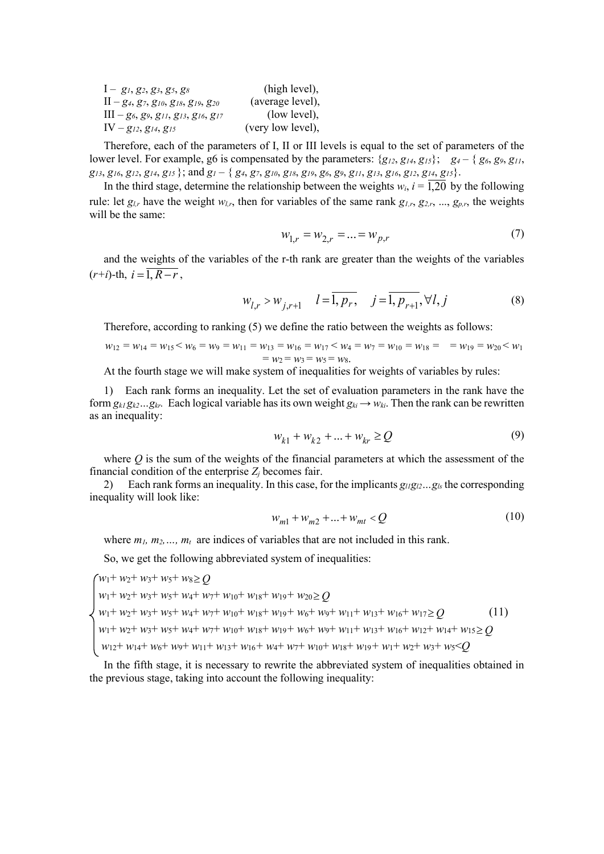| $I-g_1, g_2, g_3, g_5, g_8$                      | (high level),     |
|--------------------------------------------------|-------------------|
| $II - g_4, g_7, g_{10}, g_{18}, g_{19}, g_{20}$  | (average level),  |
| $III - g_6, g_9, g_{11}, g_{13}, g_{16}, g_{17}$ | (low level),      |
| $IV - g_{12}, g_{14}, g_{15}$                    | (very low level), |

Therefore, each of the parameters of I, II or III levels is equal to the set of parameters of the lower level. For example, g6 is compensated by the parameters:  $\{g_{12}, g_{14}, g_{15}\};\ g_4 - \{g_6, g_9, g_{11},\}$  $g_{13}, g_{16}, g_{12}, g_{14}, g_{15}$ ; and  $g_1 - \{g_4, g_7, g_{10}, g_{18}, g_{19}, g_6, g_9, g_{11}, g_{13}, g_{16}, g_{12}, g_{14}, g_{15}\}.$ 

In the third stage, determine the relationship between the weights  $w_i$ ,  $i = 1,20$  by the following rule: let  $g_{l,r}$  have the weight  $w_{l,r}$ , then for variables of the same rank  $g_{l,r}$ ,  $g_{2,r}$ , ...,  $g_{p,r}$ , the weights will be the same:

$$
w_{1,r} = w_{2,r} = \dots = w_{p,r} \tag{7}
$$

and the weights of the variables of the r-th rank are greater than the weights of the variables  $(r+i)$ -th,  $i=\overline{1, R-r}$ ,

$$
w_{l,r} > w_{j,r+1} \quad l = \overline{1, p_r}, \quad j = \overline{1, p_{r+1}}, \forall l, j \tag{8}
$$

Therefore, according to ranking (5) we define the ratio between the weights as follows:

$$
w_{12} = w_{14} = w_{15} < w_6 = w_9 = w_{11} = w_{13} = w_{16} = w_{17} < w_4 = w_7 = w_{10} = w_{18} = w_{19} = w_{20} < w_1
$$
\n
$$
= w_2 = w_3 = w_5 = w_8.
$$

At the fourth stage we will make system of inequalities for weights of variables by rules:

1) Each rank forms an inequality. Let the set of evaluation parameters in the rank have the form  $g_{kl}g_{k2}...g_{kr}$ . Each logical variable has its own weight  $g_{ki} \rightarrow w_{ki}$ . Then the rank can be rewritten as an inequality:

$$
w_{k1} + w_{k2} + \dots + w_{kr} \ge Q \tag{9}
$$

where *Q* is the sum of the weights of the financial parameters at which the assessment of the financial condition of the enterprise  $Z_i$  becomes fair.

2) Each rank forms an inequality. In this case, for the implicants  $g_{11}g_{12}...g_{1s}$  the corresponding inequality will look like:

$$
w_{m1} + w_{m2} + \dots + w_{mt} < Q \tag{10}
$$

where  $m_1, m_2, \ldots, m_t$  are indices of variables that are not included in this rank.

So, we get the following abbreviated system of inequalities:

 $w_1$ +  $w_2$ +  $w_3$ +  $w_5$ +  $w_8$   $\geq$  *Q*  $w_1$ +  $w_2$ +  $w_3$ +  $w_5$ +  $w_4$ +  $w_7$ +  $w_{10}$ +  $w_{18}$ +  $w_{19}$ +  $w_{20}$ ≥ *Q*  $w_1 + w_2 + w_3 + w_5 + w_4 + w_7 + w_{10} + w_{18} + w_{19} + w_6 + w_9 + w_{11} + w_{13} + w_{16} + w_{17} \geq Q$  (11) *w*1+ *w*2+ *w*3+ *w*5+ *w*4+ *w*7+ *w*10+ *w*18+ *w*19*+ w*6+ *w*9+ *w*11+ *w*13+ *w*16+ *w*12+ *w*14+ *w*15≥ *Q w*12+ *w*14+ *w*6+ *w*9+ *w*11+ *w*13+ *w*16*+ w*4+ *w*7+ *w*10+ *w*18+ *w*19*+ w*1+ *w*2+ *w*3+ *w*5<*Q*

In the fifth stage, it is necessary to rewrite the abbreviated system of inequalities obtained in the previous stage, taking into account the following inequality: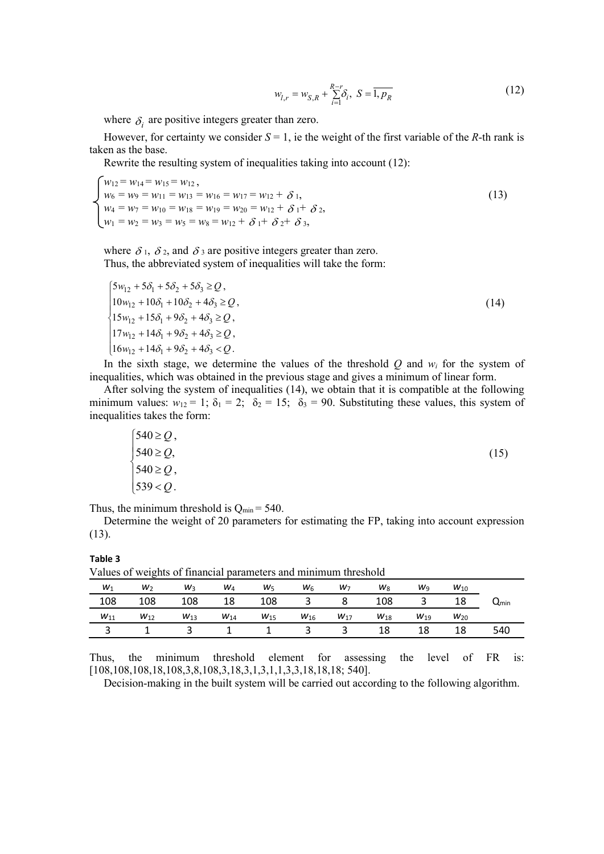$$
w_{l,r} = w_{S,R} + \sum_{i=1}^{R-r} \delta_i, \ S = \overline{1, p_R}
$$
 (12)

where  $\delta_i$  are positive integers greater than zero.

However, for certainty we consider  $S = 1$ , ie the weight of the first variable of the *R*-th rank is taken as the base.

Rewrite the resulting system of inequalities taking into account (12):

 $\bigwedge w_{12} = w_{14} = w_{15} = w_{12}$ ,  $w_6 = w_9 = w_{11} = w_{13} = w_{16} = w_{17} = w_{12} + \delta_1,$  (13)  $w_4 = w_7 = w_{10} = w_{18} = w_{19} = w_{20} = w_{12} + \delta_1 + \delta_2$  $w_1 = w_2 = w_3 = w_5 = w_8 = w_{12} + \delta_1 + \delta_2 + \delta_3,$ 

where  $\delta_1$ ,  $\delta_2$ , and  $\delta_3$  are positive integers greater than zero. Thus, the abbreviated system of inequalities will take the form:

$$
\begin{cases}\n5w_{12} + 5\delta_1 + 5\delta_2 + 5\delta_3 \ge Q, \\
10w_{12} + 10\delta_1 + 10\delta_2 + 4\delta_3 \ge Q, \\
15w_{12} + 15\delta_1 + 9\delta_2 + 4\delta_3 \ge Q, \\
17w_{12} + 14\delta_1 + 9\delta_2 + 4\delta_3 \ge Q, \\
16w_{12} + 14\delta_1 + 9\delta_2 + 4\delta_3 < Q.\n\end{cases} \tag{14}
$$

In the sixth stage, we determine the values of the threshold  $Q$  and  $w_i$  for the system of inequalities, which was obtained in the previous stage and gives a minimum of linear form.

After solving the system of inequalities (14), we obtain that it is compatible at the following minimum values:  $w_{12} = 1$ ;  $\delta_1 = 2$ ;  $\delta_2 = 15$ ;  $\delta_3 = 90$ . Substituting these values, this system of inequalities takes the form:

$$
\begin{cases}\n540 \ge Q, \\
540 \ge Q, \\
540 \ge Q, \\
539 < Q.\n\end{cases} \tag{15}
$$

Thus, the minimum threshold is  $Q_{\text{min}} = 540$ .

Determine the weight of 20 parameters for estimating the FP, taking into account expression (13).

#### **Table 3**

Values of weights of financial parameters and minimum threshold

|                             | $W_{10}$ | Wg       | $W_8$    | $W_7$                   | $W_6$                   | $W_5$          | W <sub>4</sub> | $W_3$    | $W_2$    | $W_1$    |
|-----------------------------|----------|----------|----------|-------------------------|-------------------------|----------------|----------------|----------|----------|----------|
| $\mathsf{u}_{\mathsf{min}}$ | 18       |          | 108      |                         | $\overline{\mathbf{3}}$ | 108            | 18             | 108      | 108      | 108      |
|                             | $W_{20}$ | $W_{19}$ | $W_{18}$ | $W_{17}$                | $W_{16}$                | $W_{15}$       | $W_{14}$       | $W_{13}$ | $W_{12}$ | $W_{11}$ |
| 540                         | 18       | 18       | 18       | $\overline{\mathbf{3}}$ |                         | $\overline{1}$ |                | ્ર       |          | ັ        |
|                             |          |          |          |                         |                         |                |                |          |          |          |

Thus, the minimum threshold element for assessing the level of FR is: [108,108,108,18,108,3,8,108,3,18,3,1,3,1,1,3,3,18,18,18; 540].

Decision-making in the built system will be carried out according to the following algorithm.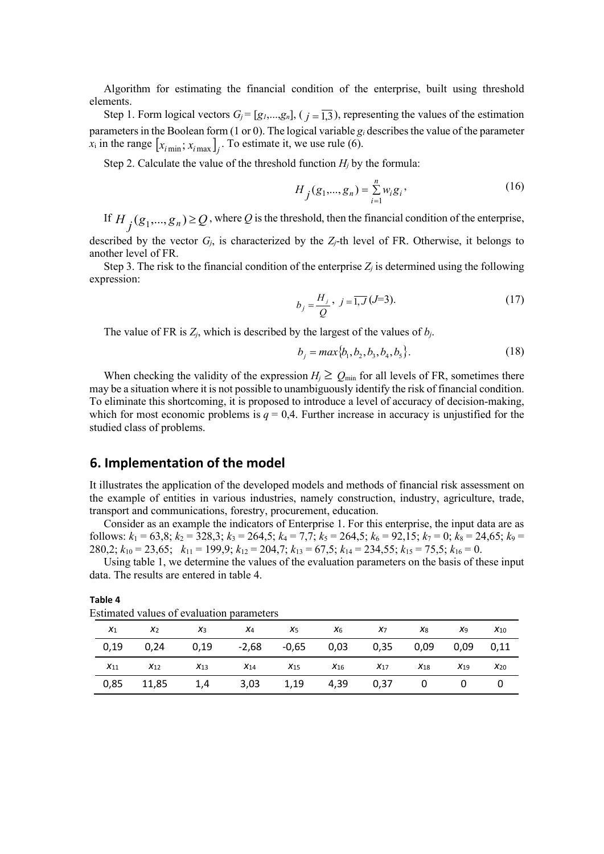Algorithm for estimating the financial condition of the enterprise, built using threshold elements.

Step 1. Form logical vectors  $G_j = [g_1,...,g_n]$ ,  $(j = \overline{1,3})$ , representing the values of the estimation parameters in the Boolean form (1 or 0). The logical variable  $g_i$  describes the value of the parameter *x*<sub>i</sub> in the range  $[x<sub>i min</sub>; x<sub>i max</sub>]<sub>i</sub>$ . To estimate it, we use rule (6).

Step 2. Calculate the value of the threshold function  $H_i$  by the formula:

$$
H_j(g_1, ..., g_n) = \sum_{i=1}^n w_i g_i,
$$
\n(16)

If  $H_j(g_1,...,g_n) \geq Q$ , where  $Q$  is the threshold, then the financial condition of the enterprise, described by the vector *Gj*, is characterized by the *Zj*-th level of FR. Otherwise, it belongs to another level of FR.

Step 3. The risk to the financial condition of the enterprise  $Z_i$  is determined using the following expression:

$$
b_j = \frac{H_j}{Q}, \ j = \overline{1, J}(J=3). \tag{17}
$$

The value of FR is *Zj*, which is described by the largest of the values of *bj*.

$$
b_j = max\{b_1, b_2, b_3, b_4, b_5\}.
$$
 (18)

When checking the validity of the expression  $H_i \geq Q_{min}$  for all levels of FR, sometimes there may be a situation where it is not possible to unambiguously identify the risk of financial condition. To eliminate this shortcoming, it is proposed to introduce a level of accuracy of decision-making, which for most economic problems is  $q = 0.4$ . Further increase in accuracy is unjustified for the studied class of problems.

### **6. Implementation of the model**

It illustrates the application of the developed models and methods of financial risk assessment on the example of entities in various industries, namely construction, industry, agriculture, trade, transport and communications, forestry, procurement, education.

Consider as an example the indicators of Enterprise 1. For this enterprise, the input data are as follows:  $k_1 = 63,8; k_2 = 328,3; k_3 = 264,5; k_4 = 7,7; k_5 = 264,5; k_6 = 92,15; k_7 = 0; k_8 = 24,65; k_9 = 12,5; k_{10} = 12, k_{11} = 12, k_{12} = 12, k_{13} = 12, k_{14} = 12, k_{15} = 12, k_{16} = 12, k_{17} = 12, k_{18} = 12, k_{19} = 12, k_{10} = 12, k_{11} = 12,$ 280,2; *k*<sup>10</sup> = 23,65; *k*<sup>11</sup> = 199,9; *k*<sup>12</sup> = 204,7; *k*<sup>13</sup> = 67,5; *k*<sup>14</sup> = 234,55; *k*<sup>15</sup> = 75,5; *k*<sup>16</sup> = 0.

Using table 1, we determine the values of the evaluation parameters on the basis of these input data. The results are entered in table 4.

| $X_1$    | x <sub>2</sub> | $X_3$    | $X_4$    | $X_5$        | $X_6$    | $X_7$    | X <sub>8</sub> | Xq       | $X_{10}$ |
|----------|----------------|----------|----------|--------------|----------|----------|----------------|----------|----------|
| 0,19     | 0.24           | 0,19     | $-2,68$  | $-0.65$ 0.03 |          | 0,35     | 0,09           | 0.09     | 0,11     |
| $X_{11}$ | $X_{12}$       | $X_{13}$ | $X_{14}$ | $X_{15}$     | $X_{16}$ | $X_{17}$ | $X_{18}$       | $X_{19}$ | $X_{20}$ |
| 0,85     | 11,85          | 1,4      | 3,03     | 1,19         | 4,39     | 0,37     | 0              |          |          |

Estimated values of evaluation parameters

**Table 4**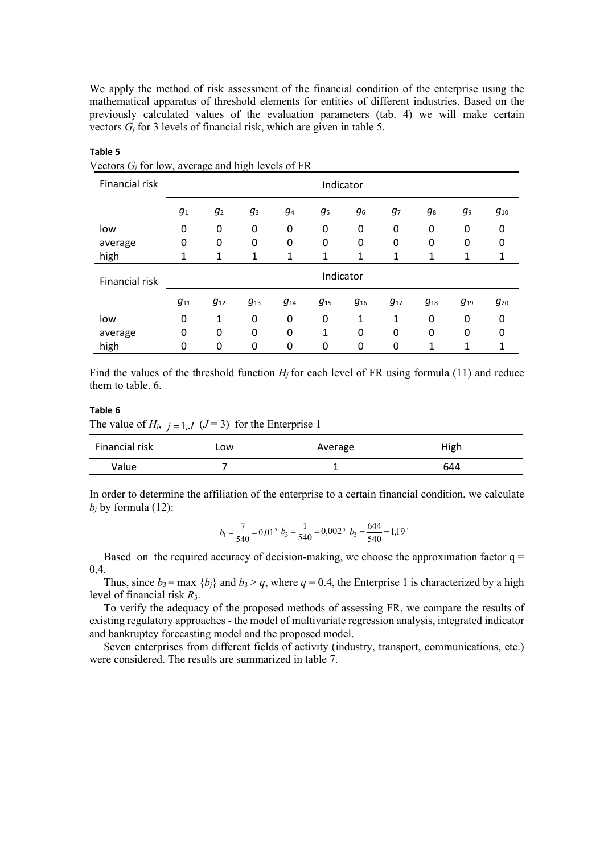We apply the method of risk assessment of the financial condition of the enterprise using the mathematical apparatus of threshold elements for entities of different industries. Based on the previously calculated values of the evaluation parameters (tab. 4) we will make certain vectors *Gj* for 3 levels of financial risk, which are given in table 5.

| $\alpha$ colors $G_i$ for fow, average and inglified is of Fix |           |                |                |            |                |                |                |          |          |          |
|----------------------------------------------------------------|-----------|----------------|----------------|------------|----------------|----------------|----------------|----------|----------|----------|
| Financial risk                                                 | Indicator |                |                |            |                |                |                |          |          |          |
|                                                                | $g_{1}$   | g <sub>2</sub> | g <sub>3</sub> | <b>g</b> 4 | g <sub>5</sub> | g <sub>6</sub> | g <sub>7</sub> | g8       | g9       | $g_{10}$ |
| low                                                            | 0         | 0              | 0              | 0          | 0              | 0              | 0              | 0        | 0        | 0        |
| average                                                        | 0         | 0              | 0              | 0          | 0              | 0              | 0              | 0        | 0        | 0        |
| high                                                           | 1         | 1              | 1              | 1          | 1              | 1              | 1              | 1        | 1        |          |
| Financial risk                                                 | Indicator |                |                |            |                |                |                |          |          |          |
|                                                                | $g_{11}$  | $g_{12}$       | $g_{13}$       | $g_{14}$   | $g_{15}$       | $g_{16}$       | $g_{17}$       | $g_{18}$ | $g_{19}$ | $g_{20}$ |
| low                                                            | 0         | 1              | 0              | 0          | 0              | 1              | 1              | 0        | 0        | 0        |
| average                                                        | 0         | 0              | 0              | 0          | 1              | 0              | 0              | 0        | 0        | 0        |
| high                                                           | 0         | 0              | 0              | 0          | 0              | 0              | 0              | 1        | 1        |          |

**Table 5** Vectors *Gj* for low, average and high levels of FR

Find the values of the threshold function  $H_i$  for each level of FR using formula (11) and reduce them to table. 6.

#### **Table 6**

The value of  $H_j$ ,  $j = 1, J \, (J = 3)$  for the Enterprise 1

| Financial risk | Low | Average | High |
|----------------|-----|---------|------|
| Value          |     |         | 644  |

In order to determine the affiliation of the enterprise to a certain financial condition, we calculate  $b_i$  by formula (12):

$$
b_1 = \frac{7}{540} = 0.01, b_3 = \frac{1}{540} = 0.002, b_3 = \frac{644}{540} = 1.19
$$

Based on the required accuracy of decision-making, we choose the approximation factor  $q =$ 0,4.

Thus, since  $b_3$  = max { $b_i$ } and  $b_3 > q$ , where  $q = 0.4$ , the Enterprise 1 is characterized by a high level of financial risk *R*3.

To verify the adequacy of the proposed methods of assessing FR, we compare the results of existing regulatory approaches - the model of multivariate regression analysis, integrated indicator and bankruptcy forecasting model and the proposed model.

Seven enterprises from different fields of activity (industry, transport, communications, etc.) were considered. The results are summarized in table 7.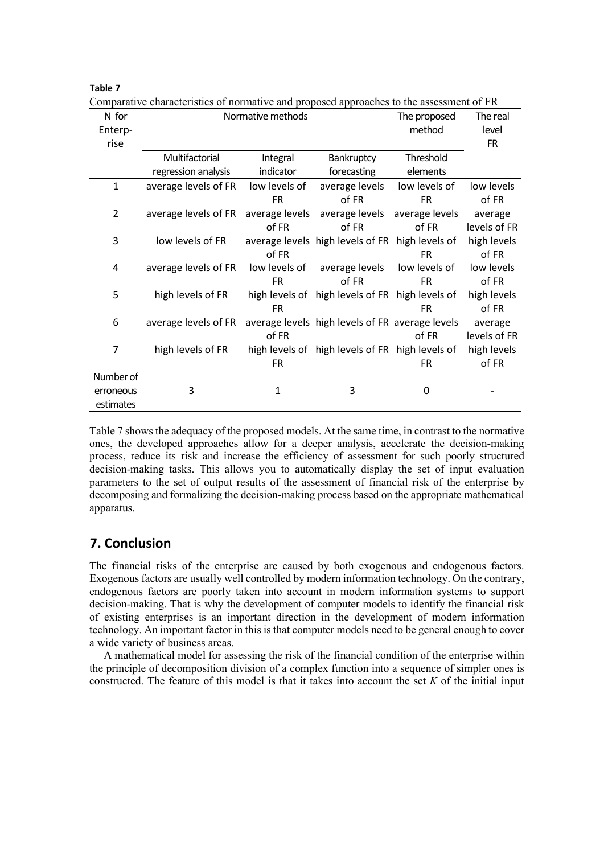|                | Comparative characteristics of normative and proposed approaches to the assessment of Fix |                |                                                 |                |              |
|----------------|-------------------------------------------------------------------------------------------|----------------|-------------------------------------------------|----------------|--------------|
| N for          | Normative methods                                                                         | The proposed   | The real                                        |                |              |
| Enterp-        |                                                                                           | method         | level                                           |                |              |
| rise           |                                                                                           |                |                                                 |                | <b>FR</b>    |
|                | Multifactorial                                                                            | Integral       | Bankruptcy                                      | Threshold      |              |
|                | regression analysis                                                                       | indicator      | forecasting                                     | elements       |              |
| $\mathbf{1}$   | average levels of FR                                                                      | low levels of  | average levels                                  | low levels of  | low levels   |
|                |                                                                                           | FR.            | of FR                                           | <b>FR</b>      | of FR        |
| $\overline{2}$ | average levels of FR                                                                      | average levels | average levels                                  | average levels | average      |
|                |                                                                                           | of FR          | of FR                                           | of FR          | levels of FR |
| 3              | low levels of FR                                                                          |                | average levels high levels of FR high levels of |                | high levels  |
|                |                                                                                           | of FR          |                                                 | <b>FR</b>      | of FR        |
| 4              | average levels of FR                                                                      | low levels of  | average levels                                  | low levels of  | low levels   |
|                |                                                                                           | FR.            | of FR                                           | <b>FR</b>      | of FR        |
| 5              | high levels of FR                                                                         |                | high levels of high levels of FR high levels of |                | high levels  |
|                |                                                                                           | <b>FR</b>      |                                                 | <b>FR</b>      | of FR        |
| 6              | average levels of FR                                                                      |                | average levels high levels of FR average levels |                | average      |
|                |                                                                                           | of FR          |                                                 | of FR          | levels of FR |
| 7              | high levels of FR                                                                         |                | high levels of high levels of FR high levels of |                | high levels  |
|                |                                                                                           | <b>FR</b>      |                                                 | FR             | of FR        |
| Number of      |                                                                                           |                |                                                 |                |              |
| erroneous      | 3                                                                                         | 1              | 3                                               | 0              |              |
| estimates      |                                                                                           |                |                                                 |                |              |

Comparative characteristics of normative and proposed approaches to the assessment of FR

Table 7 shows the adequacy of the proposed models. At the same time, in contrast to the normative ones, the developed approaches allow for a deeper analysis, accelerate the decision-making process, reduce its risk and increase the efficiency of assessment for such poorly structured decision-making tasks. This allows you to automatically display the set of input evaluation parameters to the set of output results of the assessment of financial risk of the enterprise by decomposing and formalizing the decision-making process based on the appropriate mathematical apparatus.

### **7. Conclusion**

**Table 7**

The financial risks of the enterprise are caused by both exogenous and endogenous factors. Exogenous factors are usually well controlled by modern information technology. On the contrary, endogenous factors are poorly taken into account in modern information systems to support decision-making. That is why the development of computer models to identify the financial risk of existing enterprises is an important direction in the development of modern information technology. An important factor in this is that computer models need to be general enough to cover a wide variety of business areas.

A mathematical model for assessing the risk of the financial condition of the enterprise within the principle of decomposition division of a complex function into a sequence of simpler ones is constructed. The feature of this model is that it takes into account the set *K* of the initial input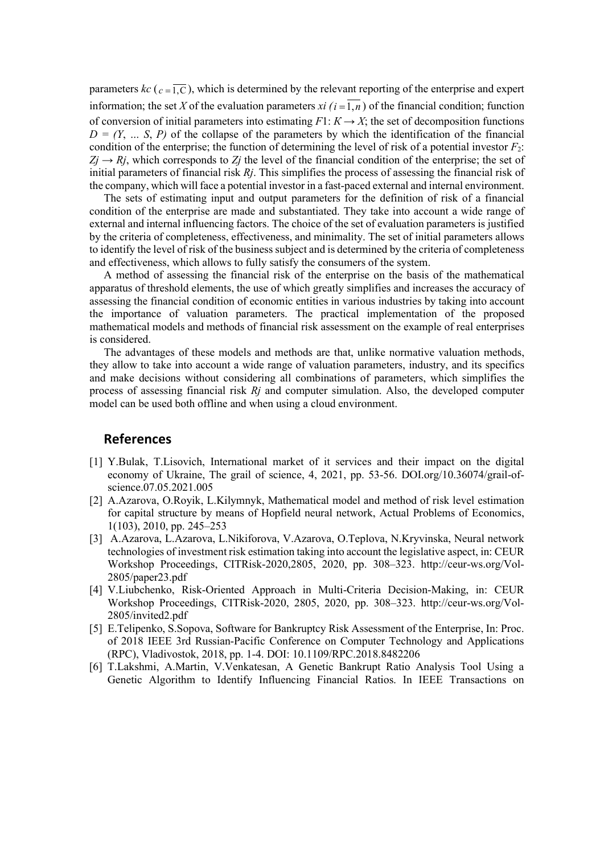parameters  $kc$  ( $c = \overline{1,C}$ ), which is determined by the relevant reporting of the enterprise and expert information; the set X of the evaluation parameters *xi*  $(i = \overline{1,n})$  of the financial condition; function of conversion of initial parameters into estimating  $F1: K \to X$ ; the set of decomposition functions  $D = (Y, \ldots, S, P)$  of the collapse of the parameters by which the identification of the financial condition of the enterprise; the function of determining the level of risk of a potential investor  $F_2$ :  $Z_j \rightarrow R_j$ , which corresponds to  $Z_j$  the level of the financial condition of the enterprise; the set of initial parameters of financial risk *Rj*. This simplifies the process of assessing the financial risk of the company, which will face a potential investor in a fast-paced external and internal environment.

The sets of estimating input and output parameters for the definition of risk of a financial condition of the enterprise are made and substantiated. They take into account a wide range of external and internal influencing factors. The choice of the set of evaluation parameters is justified by the criteria of completeness, effectiveness, and minimality. The set of initial parameters allows to identify the level of risk of the business subject and is determined by the criteria of completeness and effectiveness, which allows to fully satisfy the consumers of the system.

A method of assessing the financial risk of the enterprise on the basis of the mathematical apparatus of threshold elements, the use of which greatly simplifies and increases the accuracy of assessing the financial condition of economic entities in various industries by taking into account the importance of valuation parameters. The practical implementation of the proposed mathematical models and methods of financial risk assessment on the example of real enterprises is considered.

The advantages of these models and methods are that, unlike normative valuation methods, they allow to take into account a wide range of valuation parameters, industry, and its specifics and make decisions without considering all combinations of parameters, which simplifies the process of assessing financial risk *Rj* and computer simulation. Also, the developed computer model can be used both offline and when using a cloud environment.

### **References**

- [1] Y.Bulak, T.Lisovich, International market of it services and their impact on the digital economy of Ukraine, The grail of science, 4, 2021, pp. 53-56. DOI.org/10.36074/grail-ofscience.07.05.2021.005
- [2] A.Azarova, O.Royik, L.Kilymnyk, Mathematical model and method of risk level estimation for capital structure by means of Hopfield neural network, Actual Problems of Economics, 1(103), 2010, pp. 245–253
- [3] [A.A](https://www.scopus.com/authid/detail.uri?authorId=35758353700)zarova, [L.A](https://www.scopus.com/authid/detail.uri?authorId=57212031795)zarova, [L.N](https://www.scopus.com/authid/detail.uri?authorId=57219054744)ikiforova, V.Azarova, [O.T](https://www.scopus.com/authid/detail.uri?authorId=57212031704)eplova, [N.K](https://www.scopus.com/authid/detail.uri?authorId=6507487726)ryvinska, Neural network technologies of investment risk estimation taking into account the legislative aspect, in: CEUR Workshop Proceedings, CITRisk-2020,2805, 2020, pp. 308–323. [http://ceur-ws.org/Vol-](http://ceur-ws.org/Vol-2805/paper23.pdf)[2805/paper23.pdf](http://ceur-ws.org/Vol-2805/paper23.pdf)
- [4] V.Liubchenko, Risk-Oriented Approach in Multi-Criteria Decision-Making, in: CEUR Workshop Proceedings, CITRisk-2020, 2805, 2020, pp. 308–323. [http://ceur-ws.org/Vol-](http://ceur-ws.org/Vol-2805/invited2.pdf)[2805/invited2.pdf](http://ceur-ws.org/Vol-2805/invited2.pdf)
- [5] E.Telipenko, S.Sopova, Software for Bankruptcy Risk Assessment of the Enterprise, In: Proc. of 2018 IEEE 3rd Russian-Pacific Conference on Computer Technology and Applications (RPC), Vladivostok, 2018, pp. 1-4. DOI: 10.1109/RPC.2018.8482206
- [6] T.Lakshmi, A.Martin, V.Venkatesan, A Genetic Bankrupt Ratio Analysis Tool Using a Genetic Algorithm to Identify Influencing Financial Ratios. In IEEE Transactions on